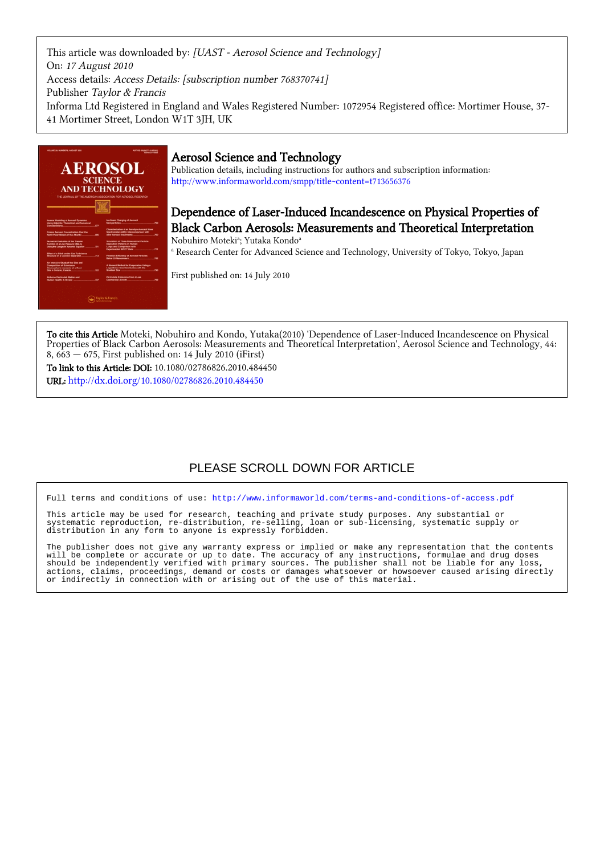This article was downloaded by: [UAST - Aerosol Science and Technology] On: 17 August 2010 Access details: Access Details: [subscription number 768370741] Publisher Taylor & Francis Informa Ltd Registered in England and Wales Registered Number: 1072954 Registered office: Mortimer House, 37- 41 Mortimer Street, London W1T 3JH, UK



## Aerosol Science and Technology

Publication details, including instructions for authors and subscription information: <http://www.informaworld.com/smpp/title~content=t713656376>

Dependence of Laser-Induced Incandescence on Physical Properties of Black Carbon Aerosols: Measurements and Theoretical Interpretation

Nobuhiro Moteki<sup>a</sup>; Yutaka Kondo<sup>a</sup> a Research Center for Advanced Science and Technology, University of Tokyo, Tokyo, Japan

First published on: 14 July 2010

To cite this Article Moteki, Nobuhiro and Kondo, Yutaka(2010) 'Dependence of Laser-Induced Incandescence on Physical Properties of Black Carbon Aerosols: Measurements and Theoretical Interpretation', Aerosol Science and Technology, 44: 8, 663 — 675, First published on: 14 July 2010 (iFirst)

To link to this Article: DOI: 10.1080/02786826.2010.484450

URL: <http://dx.doi.org/10.1080/02786826.2010.484450>

# PLEASE SCROLL DOWN FOR ARTICLE

Full terms and conditions of use:<http://www.informaworld.com/terms-and-conditions-of-access.pdf>

This article may be used for research, teaching and private study purposes. Any substantial or systematic reproduction, re-distribution, re-selling, loan or sub-licensing, systematic supply or distribution in any form to anyone is expressly forbidden.

The publisher does not give any warranty express or implied or make any representation that the contents will be complete or accurate or up to date. The accuracy of any instructions, formulae and drug doses should be independently verified with primary sources. The publisher shall not be liable for any loss, actions, claims, proceedings, demand or costs or damages whatsoever or howsoever caused arising directly or indirectly in connection with or arising out of the use of this material.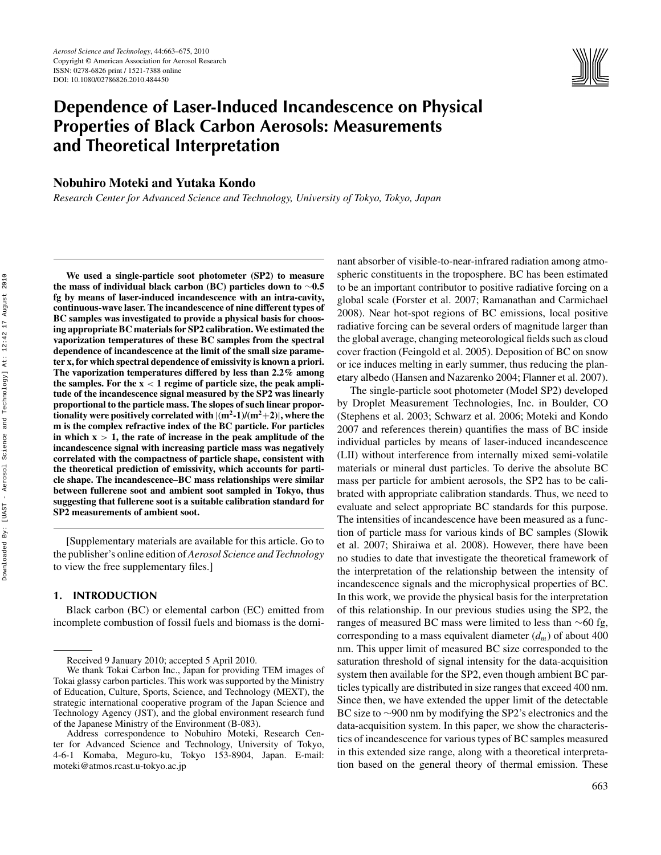

# **Dependence of Laser-Induced Incandescence on Physical Properties of Black Carbon Aerosols: Measurements and Theoretical Interpretation**

## **Nobuhiro Moteki and Yutaka Kondo**

*Research Center for Advanced Science and Technology, University of Tokyo, Tokyo, Japan*

**We used a single-particle soot photometer (SP2) to measure the mass of individual black carbon (BC) particles down to** ∼**0.5 fg by means of laser-induced incandescence with an intra-cavity, continuous-wave laser. The incandescence of nine different types of BC samples was investigated to provide a physical basis for choosing appropriate BC materials for SP2 calibration. We estimated the vaporization temperatures of these BC samples from the spectral dependence of incandescence at the limit of the small size parameter x, for which spectral dependence of emissivity is known a priori. The vaporization temperatures differed by less than 2.2% among** the samples. For the  $x < 1$  regime of particle size, the peak ampli**tude of the incandescence signal measured by the SP2 was linearly proportional to the particle mass. The slopes of such linear proportionality were positively correlated with**  $|(m^2-1)/(m^2+2)|$ **, where the m is the complex refractive index of the BC particle. For particles in which x** *>* **1, the rate of increase in the peak amplitude of the incandescence signal with increasing particle mass was negatively correlated with the compactness of particle shape, consistent with the theoretical prediction of emissivity, which accounts for particle shape. The incandescence–BC mass relationships were similar between fullerene soot and ambient soot sampled in Tokyo, thus suggesting that fullerene soot is a suitable calibration standard for SP2 measurements of ambient soot.**

[Supplementary materials are available for this article. Go to the publisher's online edition of *Aerosol Science and Technology* to view the free supplementary files.]

#### **1. INTRODUCTION**

Black carbon (BC) or elemental carbon (EC) emitted from incomplete combustion of fossil fuels and biomass is the dominant absorber of visible-to-near-infrared radiation among atmospheric constituents in the troposphere. BC has been estimated to be an important contributor to positive radiative forcing on a global scale (Forster et al. 2007; Ramanathan and Carmichael 2008). Near hot-spot regions of BC emissions, local positive radiative forcing can be several orders of magnitude larger than the global average, changing meteorological fields such as cloud cover fraction (Feingold et al. 2005). Deposition of BC on snow or ice induces melting in early summer, thus reducing the planetary albedo (Hansen and Nazarenko 2004; Flanner et al. 2007).

The single-particle soot photometer (Model SP2) developed by Droplet Measurement Technologies, Inc. in Boulder, CO (Stephens et al. 2003; Schwarz et al. 2006; Moteki and Kondo 2007 and references therein) quantifies the mass of BC inside individual particles by means of laser-induced incandescence (LII) without interference from internally mixed semi-volatile materials or mineral dust particles. To derive the absolute BC mass per particle for ambient aerosols, the SP2 has to be calibrated with appropriate calibration standards. Thus, we need to evaluate and select appropriate BC standards for this purpose. The intensities of incandescence have been measured as a function of particle mass for various kinds of BC samples (Slowik et al. 2007; Shiraiwa et al. 2008). However, there have been no studies to date that investigate the theoretical framework of the interpretation of the relationship between the intensity of incandescence signals and the microphysical properties of BC. In this work, we provide the physical basis for the interpretation of this relationship. In our previous studies using the SP2, the ranges of measured BC mass were limited to less than  $\sim$ 60 fg, corresponding to a mass equivalent diameter  $(d_m)$  of about 400 nm. This upper limit of measured BC size corresponded to the saturation threshold of signal intensity for the data-acquisition system then available for the SP2, even though ambient BC particles typically are distributed in size ranges that exceed 400 nm. Since then, we have extended the upper limit of the detectable BC size to ∼900 nm by modifying the SP2's electronics and the data-acquisition system. In this paper, we show the characteristics of incandescence for various types of BC samples measured in this extended size range, along with a theoretical interpretation based on the general theory of thermal emission. These

Received 9 January 2010; accepted 5 April 2010.

We thank Tokai Carbon Inc., Japan for providing TEM images of Tokai glassy carbon particles. This work was supported by the Ministry of Education, Culture, Sports, Science, and Technology (MEXT), the strategic international cooperative program of the Japan Science and Technology Agency (JST), and the global environment research fund of the Japanese Ministry of the Environment (B-083).

Address correspondence to Nobuhiro Moteki, Research Center for Advanced Science and Technology, University of Tokyo, 4-6-1 Komaba, Meguro-ku, Tokyo 153-8904, Japan. E-mail: moteki@atmos.rcast.u-tokyo.ac.jp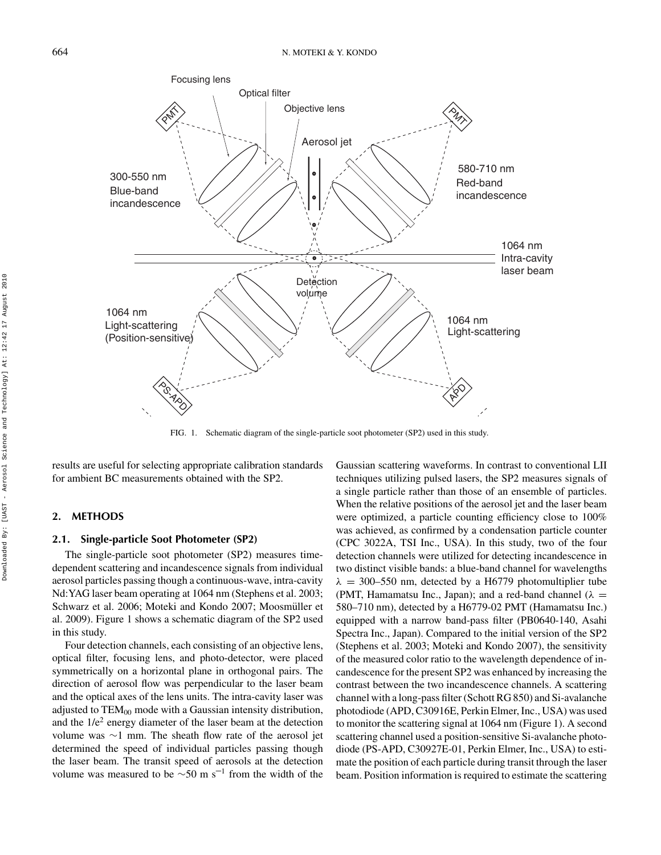

FIG. 1. Schematic diagram of the single-particle soot photometer (SP2) used in this study.

results are useful for selecting appropriate calibration standards for ambient BC measurements obtained with the SP2.

## **2. METHODS**

## **2.1. Single-particle Soot Photometer (SP2)**

The single-particle soot photometer (SP2) measures timedependent scattering and incandescence signals from individual aerosol particles passing though a continuous-wave, intra-cavity Nd:YAG laser beam operating at 1064 nm (Stephens et al. 2003; Schwarz et al. 2006; Moteki and Kondo 2007; Moosmüller et al. 2009). Figure 1 shows a schematic diagram of the SP2 used in this study.

Four detection channels, each consisting of an objective lens, optical filter, focusing lens, and photo-detector, were placed symmetrically on a horizontal plane in orthogonal pairs. The direction of aerosol flow was perpendicular to the laser beam and the optical axes of the lens units. The intra-cavity laser was adjusted to  $TEM_{00}$  mode with a Gaussian intensity distribution, and the  $1/e^2$  energy diameter of the laser beam at the detection volume was ∼1 mm. The sheath flow rate of the aerosol jet determined the speed of individual particles passing though the laser beam. The transit speed of aerosols at the detection volume was measured to be  $\sim$ 50 m s<sup>-1</sup> from the width of the

Gaussian scattering waveforms. In contrast to conventional LII techniques utilizing pulsed lasers, the SP2 measures signals of a single particle rather than those of an ensemble of particles. When the relative positions of the aerosol jet and the laser beam were optimized, a particle counting efficiency close to 100% was achieved, as confirmed by a condensation particle counter (CPC 3022A, TSI Inc., USA). In this study, two of the four detection channels were utilized for detecting incandescence in two distinct visible bands: a blue-band channel for wavelengths  $\lambda$  = 300–550 nm, detected by a H6779 photomultiplier tube (PMT, Hamamatsu Inc., Japan); and a red-band channel ( $\lambda$  = 580–710 nm), detected by a H6779-02 PMT (Hamamatsu Inc.) equipped with a narrow band-pass filter (PB0640-140, Asahi Spectra Inc., Japan). Compared to the initial version of the SP2 (Stephens et al. 2003; Moteki and Kondo 2007), the sensitivity of the measured color ratio to the wavelength dependence of incandescence for the present SP2 was enhanced by increasing the contrast between the two incandescence channels. A scattering channel with a long-pass filter (Schott RG 850) and Si-avalanche photodiode (APD, C30916E, Perkin Elmer, Inc., USA) was used to monitor the scattering signal at 1064 nm (Figure 1). A second scattering channel used a position-sensitive Si-avalanche photodiode (PS-APD, C30927E-01, Perkin Elmer, Inc., USA) to estimate the position of each particle during transit through the laser beam. Position information is required to estimate the scattering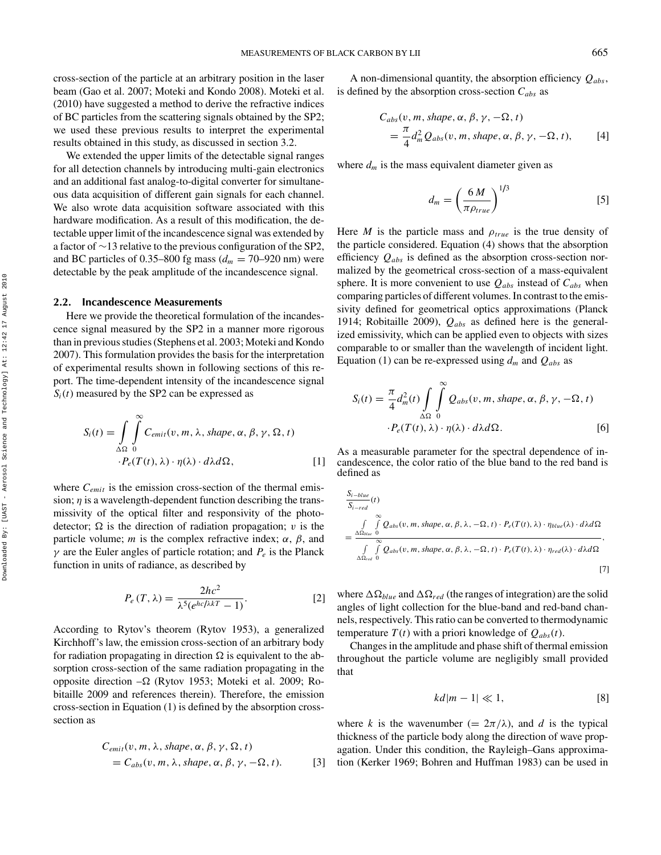cross-section of the particle at an arbitrary position in the laser beam (Gao et al. 2007; Moteki and Kondo 2008). Moteki et al. (2010) have suggested a method to derive the refractive indices of BC particles from the scattering signals obtained by the SP2; we used these previous results to interpret the experimental results obtained in this study, as discussed in section 3.2.

We extended the upper limits of the detectable signal ranges for all detection channels by introducing multi-gain electronics and an additional fast analog-to-digital converter for simultaneous data acquisition of different gain signals for each channel. We also wrote data acquisition software associated with this hardware modification. As a result of this modification, the detectable upper limit of the incandescence signal was extended by a factor of ∼13 relative to the previous configuration of the SP2, and BC particles of 0.35–800 fg mass  $(d_m = 70-920 \text{ nm})$  were detectable by the peak amplitude of the incandescence signal.

#### **2.2. Incandescence Measurements**

Here we provide the theoretical formulation of the incandescence signal measured by the SP2 in a manner more rigorous than in previous studies (Stephens et al. 2003; Moteki and Kondo 2007). This formulation provides the basis for the interpretation of experimental results shown in following sections of this report. The time-dependent intensity of the incandescence signal  $S_i(t)$  measured by the SP2 can be expressed as

$$
S_i(t) = \int_{\Delta\Omega} \int_{0}^{\infty} C_{emit}(v, m, \lambda, shape, \alpha, \beta, \gamma, \Omega, t)
$$
  
 
$$
\cdot P_e(T(t), \lambda) \cdot \eta(\lambda) \cdot d\lambda d\Omega, \qquad [1]
$$

where  $C_{emit}$  is the emission cross-section of the thermal emission; *η* is a wavelength-dependent function describing the transmissivity of the optical filter and responsivity of the photodetector;  $\Omega$  is the direction of radiation propagation; *v* is the particle volume; *m* is the complex refractive index;  $\alpha$ ,  $\beta$ , and *γ* are the Euler angles of particle rotation; and  $P_e$  is the Planck function in units of radiance, as described by

$$
P_e(T,\lambda) = \frac{2hc^2}{\lambda^5(e^{hc/\lambda kT} - 1)}.
$$
 [2]

According to Rytov's theorem (Rytov 1953), a generalized Kirchhoff's law, the emission cross-section of an arbitrary body for radiation propagating in direction  $\Omega$  is equivalent to the absorption cross-section of the same radiation propagating in the opposite direction  $-\Omega$  (Rytov 1953; Moteki et al. 2009; Robitaille 2009 and references therein). Therefore, the emission cross-section in Equation (1) is defined by the absorption crosssection as

$$
C_{emit}(v, m, \lambda, shape, \alpha, \beta, \gamma, \Omega, t)
$$
  
=  $C_{abs}(v, m, \lambda, shape, \alpha, \beta, \gamma, -\Omega, t).$  [3]

A non-dimensional quantity, the absorption efficiency *Qabs*, is defined by the absorption cross-section *Cabs* as

$$
C_{abs}(v, m, shape, \alpha, \beta, \gamma, -\Omega, t)
$$
  
=  $\frac{\pi}{4} d_m^2 Q_{abs}(v, m, shape, \alpha, \beta, \gamma, -\Omega, t),$  [4]

where  $d_m$  is the mass equivalent diameter given as

$$
d_m = \left(\frac{6 M}{\pi \rho_{true}}\right)^{1/3} \tag{5}
$$

Here *M* is the particle mass and  $\rho_{true}$  is the true density of the particle considered. Equation (4) shows that the absorption efficiency *Qabs* is defined as the absorption cross-section normalized by the geometrical cross-section of a mass-equivalent sphere. It is more convenient to use *Qabs* instead of *Cabs* when comparing particles of different volumes. In contrast to the emissivity defined for geometrical optics approximations (Planck 1914; Robitaille 2009), *Qabs* as defined here is the generalized emissivity, which can be applied even to objects with sizes comparable to or smaller than the wavelength of incident light. Equation (1) can be re-expressed using  $d_m$  and  $Q_{abs}$  as

$$
S_i(t) = \frac{\pi}{4} d_m^2(t) \int_{\Delta\Omega} \int_{0}^{\infty} Q_{abs}(v, m, shape, \alpha, \beta, \gamma, -\Omega, t)
$$

$$
\cdot P_e(T(t), \lambda) \cdot \eta(\lambda) \cdot d\lambda d\Omega.
$$
 [6]

As a measurable parameter for the spectral dependence of incandescence, the color ratio of the blue band to the red band is defined as

$$
\frac{S_{i-bla}}{S_{i-red}}(t)
$$
\n
$$
= \frac{\int_{\Delta\Omega_{blue}} \int_{\Delta\Omega} \varphi_{abs}(v, m, shape, \alpha, \beta, \lambda, -\Omega, t) \cdot P_e(T(t), \lambda) \cdot \eta_{blue}(\lambda) \cdot d\lambda d\Omega}{\int_{\Delta\Omega_{red}} \int_{0}^{\infty} Q_{abs}(v, m, shape, \alpha, \beta, \lambda, -\Omega, t) \cdot P_e(T(t), \lambda) \cdot \eta_{red}(\lambda) \cdot d\lambda d\Omega},
$$
\n[7]

where  $\Delta \Omega_{blue}$  and  $\Delta \Omega_{red}$  (the ranges of integration) are the solid angles of light collection for the blue-band and red-band channels, respectively. This ratio can be converted to thermodynamic temperature  $T(t)$  with a priori knowledge of  $Q_{abs}(t)$ .

Changes in the amplitude and phase shift of thermal emission throughout the particle volume are negligibly small provided that

$$
kd|m-1| \ll 1,
$$
 [8]

where *k* is the wavenumber (=  $2\pi/\lambda$ ), and *d* is the typical thickness of the particle body along the direction of wave propagation. Under this condition, the Rayleigh–Gans approximation (Kerker 1969; Bohren and Huffman 1983) can be used in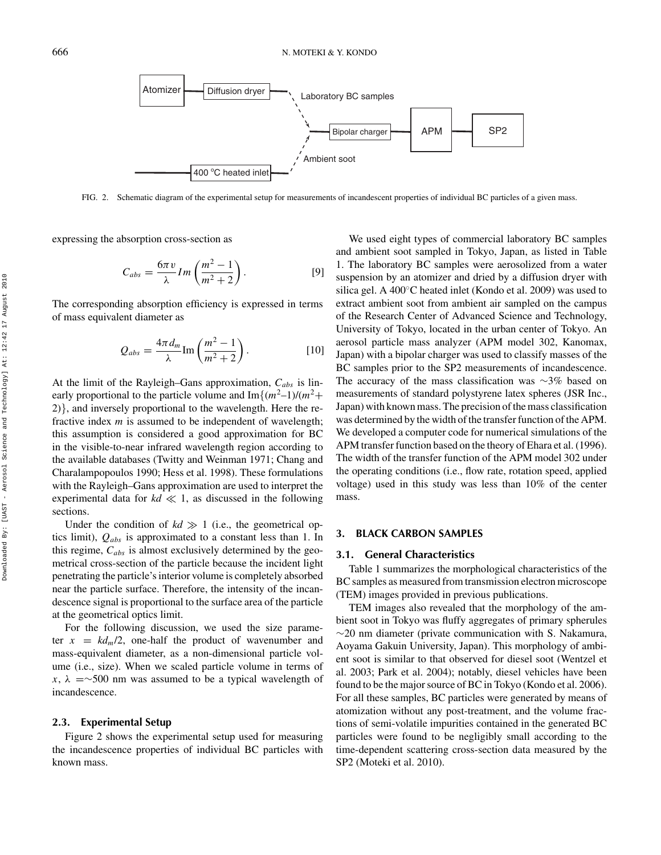

FIG. 2. Schematic diagram of the experimental setup for measurements of incandescent properties of individual BC particles of a given mass.

expressing the absorption cross-section as

$$
C_{abs} = \frac{6\pi v}{\lambda} Im\left(\frac{m^2 - 1}{m^2 + 2}\right).
$$
 [9]

The corresponding absorption efficiency is expressed in terms of mass equivalent diameter as

$$
Q_{abs} = \frac{4\pi d_m}{\lambda} \text{Im}\left(\frac{m^2 - 1}{m^2 + 2}\right). \tag{10}
$$

At the limit of the Rayleigh–Gans approximation, *Cabs* is linearly proportional to the particle volume and  $Im\{(m^2-1)/(m^2+1)\}$ 2)}, and inversely proportional to the wavelength. Here the refractive index *m* is assumed to be independent of wavelength; this assumption is considered a good approximation for BC in the visible-to-near infrared wavelength region according to the available databases (Twitty and Weinman 1971; Chang and Charalampopoulos 1990; Hess et al. 1998). These formulations with the Rayleigh–Gans approximation are used to interpret the experimental data for  $kd \ll 1$ , as discussed in the following sections.

Under the condition of  $kd \gg 1$  (i.e., the geometrical optics limit), *Qabs* is approximated to a constant less than 1. In this regime, *Cabs* is almost exclusively determined by the geometrical cross-section of the particle because the incident light penetrating the particle's interior volume is completely absorbed near the particle surface. Therefore, the intensity of the incandescence signal is proportional to the surface area of the particle at the geometrical optics limit.

For the following discussion, we used the size parameter  $x = kd_m/2$ , one-half the product of wavenumber and mass-equivalent diameter, as a non-dimensional particle volume (i.e., size). When we scaled particle volume in terms of  $x, \lambda$  =∼500 nm was assumed to be a typical wavelength of incandescence.

#### **2.3. Experimental Setup**

Figure 2 shows the experimental setup used for measuring the incandescence properties of individual BC particles with known mass.

We used eight types of commercial laboratory BC samples and ambient soot sampled in Tokyo, Japan, as listed in Table 1. The laboratory BC samples were aerosolized from a water suspension by an atomizer and dried by a diffusion dryer with silica gel. A 400◦C heated inlet (Kondo et al. 2009) was used to extract ambient soot from ambient air sampled on the campus of the Research Center of Advanced Science and Technology, University of Tokyo, located in the urban center of Tokyo. An aerosol particle mass analyzer (APM model 302, Kanomax, Japan) with a bipolar charger was used to classify masses of the BC samples prior to the SP2 measurements of incandescence. The accuracy of the mass classification was ∼3% based on measurements of standard polystyrene latex spheres (JSR Inc., Japan) with known mass. The precision of the mass classification was determined by the width of the transfer function of the APM. We developed a computer code for numerical simulations of the APM transfer function based on the theory of Ehara et al. (1996). The width of the transfer function of the APM model 302 under the operating conditions (i.e., flow rate, rotation speed, applied voltage) used in this study was less than 10% of the center mass.

## **3. BLACK CARBON SAMPLES**

#### **3.1. General Characteristics**

Table 1 summarizes the morphological characteristics of the BC samples as measured from transmission electron microscope (TEM) images provided in previous publications.

TEM images also revealed that the morphology of the ambient soot in Tokyo was fluffy aggregates of primary spherules  $\sim$ 20 nm diameter (private communication with S. Nakamura, Aoyama Gakuin University, Japan). This morphology of ambient soot is similar to that observed for diesel soot (Wentzel et al. 2003; Park et al. 2004); notably, diesel vehicles have been found to be the major source of BC in Tokyo (Kondo et al. 2006). For all these samples, BC particles were generated by means of atomization without any post-treatment, and the volume fractions of semi-volatile impurities contained in the generated BC particles were found to be negligibly small according to the time-dependent scattering cross-section data measured by the SP2 (Moteki et al. 2010).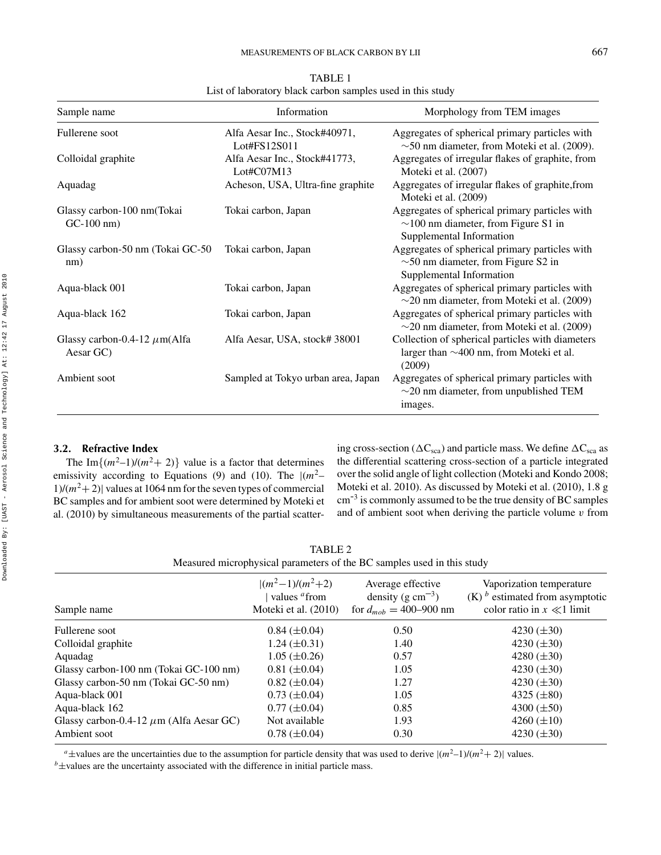| Sample name                                    | Information                                   | Morphology from TEM images                                                                                              |  |
|------------------------------------------------|-----------------------------------------------|-------------------------------------------------------------------------------------------------------------------------|--|
| Fullerene soot                                 | Alfa Aesar Inc., Stock#40971,<br>Lot#FS12S011 | Aggregates of spherical primary particles with<br>$\sim$ 50 nm diameter, from Moteki et al. (2009).                     |  |
| Colloidal graphite                             | Alfa Aesar Inc., Stock#41773,<br>Lot#CO7M13   | Aggregates of irregular flakes of graphite, from<br>Moteki et al. (2007)                                                |  |
| Aquadag                                        | Acheson, USA, Ultra-fine graphite             | Aggregates of irregular flakes of graphite, from<br>Moteki et al. (2009)                                                |  |
| Glassy carbon-100 nm(Tokai<br>$GC-100$ nm)     | Tokai carbon, Japan                           | Aggregates of spherical primary particles with<br>$\sim$ 100 nm diameter, from Figure S1 in<br>Supplemental Information |  |
| Glassy carbon-50 nm (Tokai GC-50<br>nm)        | Tokai carbon, Japan                           | Aggregates of spherical primary particles with<br>$\sim$ 50 nm diameter, from Figure S2 in<br>Supplemental Information  |  |
| Aqua-black 001                                 | Tokai carbon, Japan                           | Aggregates of spherical primary particles with<br>$\sim$ 20 nm diameter, from Moteki et al. (2009)                      |  |
| Aqua-black 162                                 | Tokai carbon, Japan                           | Aggregates of spherical primary particles with<br>$\sim$ 20 nm diameter, from Moteki et al. (2009)                      |  |
| Glassy carbon-0.4-12 $\mu$ m(Alfa<br>Aesar GC) | Alfa Aesar, USA, stock#38001                  | Collection of spherical particles with diameters<br>larger than $\sim$ 400 nm, from Moteki et al.<br>(2009)             |  |
| Ambient soot                                   | Sampled at Tokyo urban area, Japan            | Aggregates of spherical primary particles with<br>$\sim$ 20 nm diameter, from unpublished TEM<br>images.                |  |

TABLE 1 List of laboratory black carbon samples used in this study

#### **3.2. Refractive Index**

The Im $\{(m^2-1)/(m^2+2)\}\)$  value is a factor that determines emissivity according to Equations (9) and (10). The  $|(m^2 1/(m^2+2)$  values at 1064 nm for the seven types of commercial BC samples and for ambient soot were determined by Moteki et al. (2010) by simultaneous measurements of the partial scatter-

ing cross-section ( $\Delta C_{\rm sca}$ ) and particle mass. We define  $\Delta C_{\rm sca}$  as the differential scattering cross-section of a particle integrated over the solid angle of light collection (Moteki and Kondo 2008; Moteki et al. 2010). As discussed by Moteki et al. (2010), 1.8 g cm-3 is commonly assumed to be the true density of BC samples and of ambient soot when deriving the particle volume *v* from

TABLE 2 Measured microphysical parameters of the BC samples used in this study

| Sample name                                  | $\frac{ (m^2-1)}{(m^2+2)}$<br>values <sup>a</sup> from<br>Moteki et al. (2010) | Average effective<br>density (g $cm^{-3}$ )<br>for $d_{mob} = 400-900$ nm | Vaporization temperature<br>$(K)$ <sup>b</sup> estimated from asymptotic<br>color ratio in $x \ll 1$ limit |
|----------------------------------------------|--------------------------------------------------------------------------------|---------------------------------------------------------------------------|------------------------------------------------------------------------------------------------------------|
| Fullerene soot                               | $0.84 \ (\pm 0.04)$                                                            | 0.50                                                                      | 4230 $(\pm 30)$                                                                                            |
| Colloidal graphite                           | $1.24 \ (\pm 0.31)$                                                            | 1.40                                                                      | 4230 $(\pm 30)$                                                                                            |
| Aquadag                                      | $1.05 \ (\pm 0.26)$                                                            | 0.57                                                                      | 4280 $(\pm 30)$                                                                                            |
| Glassy carbon-100 nm (Tokai GC-100 nm)       | $0.81 (\pm 0.04)$                                                              | 1.05                                                                      | 4230 $(\pm 30)$                                                                                            |
| Glassy carbon-50 nm (Tokai GC-50 nm)         | $0.82 \ (\pm 0.04)$                                                            | 1.27                                                                      | 4230 $(\pm 30)$                                                                                            |
| Aqua-black 001                               | $0.73 \ (\pm 0.04)$                                                            | 1.05                                                                      | 4325 $(\pm 80)$                                                                                            |
| Aqua-black 162                               | $0.77 (\pm 0.04)$                                                              | 0.85                                                                      | 4300 $(\pm 50)$                                                                                            |
| Glassy carbon-0.4-12 $\mu$ m (Alfa Aesar GC) | Not available                                                                  | 1.93                                                                      | 4260 $(\pm 10)$                                                                                            |
| Ambient soot                                 | $0.78 \ (\pm 0.04)$                                                            | 0.30                                                                      | 4230 $(\pm 30)$                                                                                            |
|                                              |                                                                                |                                                                           |                                                                                                            |

<sup>a</sup>±values are the uncertainties due to the assumption for particle density that was used to derive  $|(m^2-1)/(m^2+2)|$  values.<br><sup>b</sup>±values are the uncertainty associated with the difference in initial particle mass.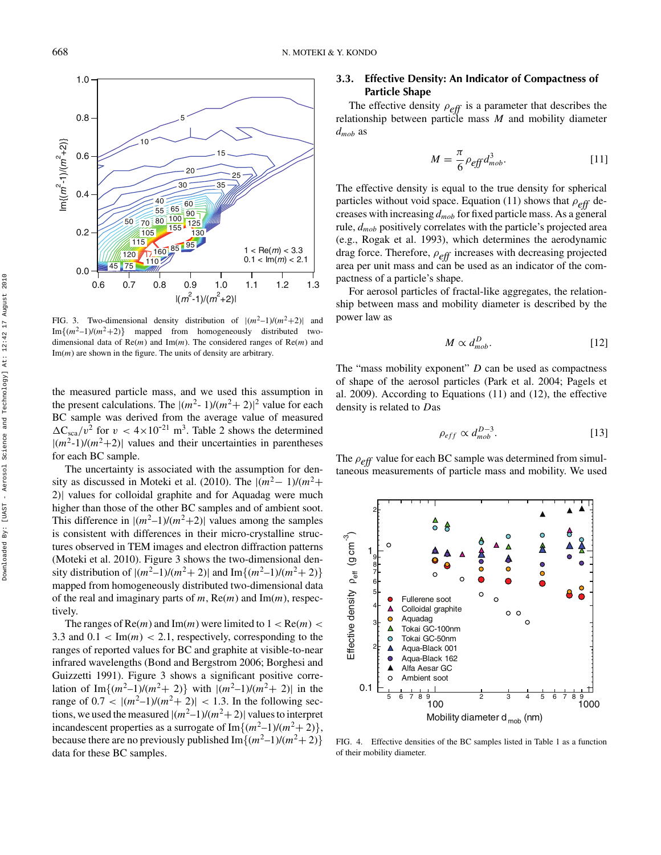

FIG. 3. Two-dimensional density distribution of  $|(m^2-1)/(m^2+2)|$  and  $Im{{(m^2-1)}/{(m^2+2)}}$  mapped from homogeneously distributed twodimensional data of Re(*m*) and Im(*m*). The considered ranges of Re(*m*) and Im(*m*) are shown in the figure. The units of density are arbitrary.

the measured particle mass, and we used this assumption in the present calculations. The  $|(m^2 - 1)/(m^2 + 2)|^2$  value for each BC sample was derived from the average value of measured  $\Delta C_{\rm sca}/v^2$  for  $v < 4 \times 10^{-21}$  m<sup>3</sup>. Table 2 shows the determined  $|(m^2-1)/(m^2+2)|$  values and their uncertainties in parentheses for each BC sample.

The uncertainty is associated with the assumption for density as discussed in Moteki et al. (2010). The  $|(m^2-1)/(m^2+$ 2)| values for colloidal graphite and for Aquadag were much higher than those of the other BC samples and of ambient soot. This difference in  $|(m^2-1)/(m^2+2)|$  values among the samples is consistent with differences in their micro-crystalline structures observed in TEM images and electron diffraction patterns (Moteki et al. 2010). Figure 3 shows the two-dimensional density distribution of  $|(m^2-1)/(m^2+2)|$  and  $\text{Im}\{(m^2-1)/(m^2+2)\}$ mapped from homogeneously distributed two-dimensional data of the real and imaginary parts of *m*, Re(*m*) and Im(*m*), respectively.

The ranges of  $Re(m)$  and  $Im(m)$  were limited to  $1 < Re(m) <$ 3.3 and  $0.1 < Im(m) < 2.1$ , respectively, corresponding to the ranges of reported values for BC and graphite at visible-to-near infrared wavelengths (Bond and Bergstrom 2006; Borghesi and Guizzetti 1991). Figure 3 shows a significant positive correlation of Im $\{(m^2-1)/(m^2+2)\}\$  with  $|(m^2-1)/(m^2+2)|$  in the range of  $0.7 < |(m^2-1)/(m^2+2)| < 1.3$ . In the following sections, we used the measured  $|(m^2-1)/(m^2+2)|$  values to interpret incandescent properties as a surrogate of  $Im{(m^2-1)/(m^2+2)}$ , because there are no previously published  $\text{Im}\{(m^2-1)/(m^2+2)\}$ data for these BC samples.

## **3.3. Effective Density: An Indicator of Compactness of Particle Shape**

The effective density *ρeff* is a parameter that describes the relationship between particle mass *M* and mobility diameter *dmob* as

$$
M = \frac{\pi}{6} \rho_{\text{eff}} d_{\text{mob}}^3.
$$
 [11]

The effective density is equal to the true density for spherical particles without void space. Equation (11) shows that *ρeff* decreases with increasing *dmob* for fixed particle mass. As a general rule, *dmob* positively correlates with the particle's projected area (e.g., Rogak et al. 1993), which determines the aerodynamic drag force. Therefore, *ρeff* increases with decreasing projected area per unit mass and can be used as an indicator of the compactness of a particle's shape.

For aerosol particles of fractal-like aggregates, the relationship between mass and mobility diameter is described by the power law as

$$
M \propto d_{mob}^D.
$$
 [12]

The "mass mobility exponent" *D* can be used as compactness of shape of the aerosol particles (Park et al. 2004; Pagels et al. 2009). According to Equations (11) and (12), the effective density is related to *D*as

$$
\rho_{eff} \propto d_{mob}^{D-3}.
$$
 [13]

The *ρeff* value for each BC sample was determined from simultaneous measurements of particle mass and mobility. We used



FIG. 4. Effective densities of the BC samples listed in Table 1 as a function of their mobility diameter.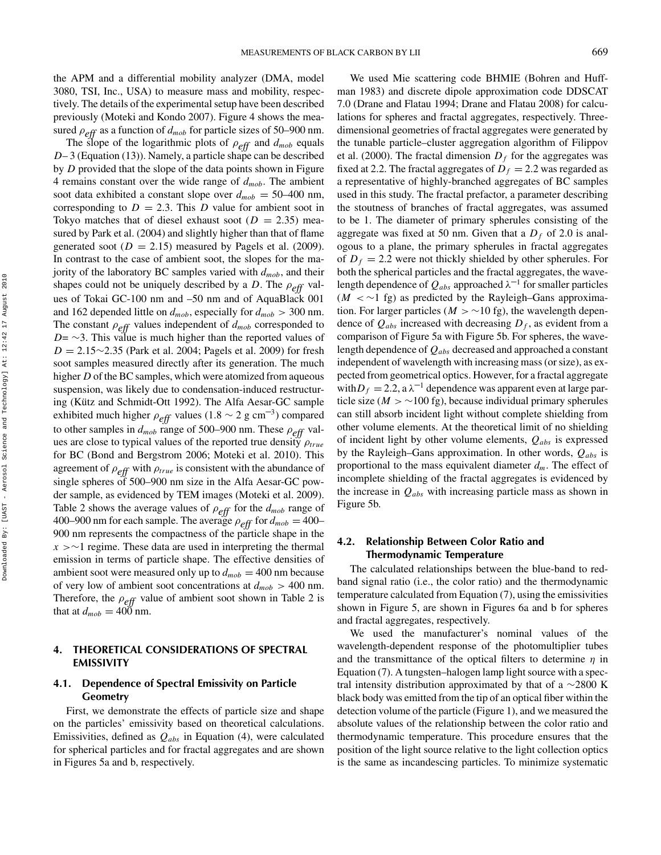the APM and a differential mobility analyzer (DMA, model 3080, TSI, Inc., USA) to measure mass and mobility, respectively. The details of the experimental setup have been described previously (Moteki and Kondo 2007). Figure 4 shows the measured  $\rho_{eff}$  as a function of  $d_{mob}$  for particle sizes of 50–900 nm.

The slope of the logarithmic plots of *ρeff* and *dmob* equals *D*– 3 (Equation (13)). Namely, a particle shape can be described by *D* provided that the slope of the data points shown in Figure 4 remains constant over the wide range of *dmob*. The ambient soot data exhibited a constant slope over  $d_{mob} = 50-400$  nm, corresponding to  $D = 2.3$ . This *D* value for ambient soot in Tokyo matches that of diesel exhaust soot ( $D = 2.35$ ) measured by Park et al. (2004) and slightly higher than that of flame generated soot ( $D = 2.15$ ) measured by Pagels et al. (2009). In contrast to the case of ambient soot, the slopes for the majority of the laboratory BC samples varied with *dmob*, and their shapes could not be uniquely described by a *D*. The *ρeff* values of Tokai GC-100 nm and –50 nm and of AquaBlack 001 and 162 depended little on  $d_{mob}$ , especially for  $d_{mob} > 300$  nm. The constant *ρeff* values independent of *dmob* corresponded to *D*=  $\sim$ 3. This value is much higher than the reported values of *D* = 2.15∼2.35 (Park et al. 2004; Pagels et al. 2009) for fresh soot samples measured directly after its generation. The much higher *D* of the BC samples, which were atomized from aqueous suspension, was likely due to condensation-induced restructuring (Kütz and Schmidt-Ott 1992). The Alfa Aesar-GC sample exhibited much higher  $\rho_{eff}$  values (1.8 ~ 2 g cm<sup>-3</sup>) compared to other samples in *dmob* range of 500–900 nm. These *ρeff* values are close to typical values of the reported true density *ρ*<sub>true</sub> for BC (Bond and Bergstrom 2006; Moteki et al. 2010). This agreement of *ρeff* with *ρtrue* is consistent with the abundance of single spheres of 500–900 nm size in the Alfa Aesar-GC powder sample, as evidenced by TEM images (Moteki et al. 2009). Table 2 shows the average values of *ρeff* for the *dmob* range of 400–900 nm for each sample. The average  $\rho_{eff}$  for  $d_{mob} = 400$ – 900 nm represents the compactness of the particle shape in the *x >*∼1 regime. These data are used in interpreting the thermal emission in terms of particle shape. The effective densities of ambient soot were measured only up to  $d_{mob} = 400$  nm because of very low of ambient soot concentrations at *dmob >* 400 nm. Therefore, the *ρeff* value of ambient soot shown in Table 2 is that at  $d_{mob} = 400$  nm.

### **4. THEORETICAL CONSIDERATIONS OF SPECTRAL EMISSIVITY**

## **4.1. Dependence of Spectral Emissivity on Particle Geometry**

First, we demonstrate the effects of particle size and shape on the particles' emissivity based on theoretical calculations. Emissivities, defined as *Qabs* in Equation (4), were calculated for spherical particles and for fractal aggregates and are shown in Figures 5a and b, respectively.

We used Mie scattering code BHMIE (Bohren and Huffman 1983) and discrete dipole approximation code DDSCAT 7.0 (Drane and Flatau 1994; Drane and Flatau 2008) for calculations for spheres and fractal aggregates, respectively. Threedimensional geometries of fractal aggregates were generated by the tunable particle–cluster aggregation algorithm of Filippov et al. (2000). The fractal dimension  $D_f$  for the aggregates was fixed at 2.2. The fractal aggregates of  $D_f = 2.2$  was regarded as a representative of highly-branched aggregates of BC samples used in this study. The fractal prefactor, a parameter describing the stoutness of branches of fractal aggregates, was assumed to be 1. The diameter of primary spherules consisting of the aggregate was fixed at 50 nm. Given that a  $D_f$  of 2.0 is analogous to a plane, the primary spherules in fractal aggregates of  $D_f = 2.2$  were not thickly shielded by other spherules. For both the spherical particles and the fractal aggregates, the wavelength dependence of  $Q_{abs}$  approached  $\lambda^{-1}$  for smaller particles (*M <* ∼1 fg) as predicted by the Rayleigh–Gans approximation. For larger particles ( $M > \sim 10$  fg), the wavelength dependence of  $Q_{abs}$  increased with decreasing  $D_f$ , as evident from a comparison of Figure 5a with Figure 5b. For spheres, the wavelength dependence of *Qabs* decreased and approached a constant independent of wavelength with increasing mass (or size), as expected from geometrical optics. However, for a fractal aggregate with  $D_f = 2.2$ , a  $\lambda^{-1}$  dependence was apparent even at large particle size ( $M > \sim 100$  fg), because individual primary spherules can still absorb incident light without complete shielding from other volume elements. At the theoretical limit of no shielding of incident light by other volume elements, *Qabs* is expressed by the Rayleigh–Gans approximation. In other words, *Qabs* is proportional to the mass equivalent diameter *dm*. The effect of incomplete shielding of the fractal aggregates is evidenced by the increase in  $Q_{abs}$  with increasing particle mass as shown in Figure 5b.

## **4.2. Relationship Between Color Ratio and Thermodynamic Temperature**

The calculated relationships between the blue-band to redband signal ratio (i.e., the color ratio) and the thermodynamic temperature calculated from Equation (7), using the emissivities shown in Figure 5, are shown in Figures 6a and b for spheres and fractal aggregates, respectively.

We used the manufacturer's nominal values of the wavelength-dependent response of the photomultiplier tubes and the transmittance of the optical filters to determine *η* in Equation (7). A tungsten–halogen lamp light source with a spectral intensity distribution approximated by that of a ∼2800 K black body was emitted from the tip of an optical fiber within the detection volume of the particle (Figure 1), and we measured the absolute values of the relationship between the color ratio and thermodynamic temperature. This procedure ensures that the position of the light source relative to the light collection optics is the same as incandescing particles. To minimize systematic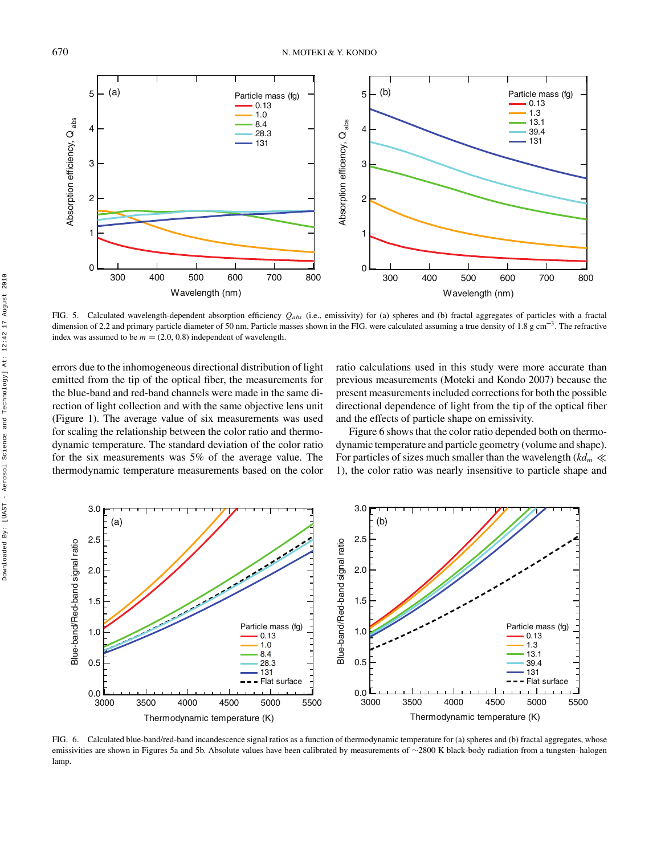

FIG. 5. Calculated wavelength-dependent absorption efficiency *Qabs* (i.e., emissivity) for (a) spheres and (b) fractal aggregates of particles with a fractal dimension of 2.2 and primary particle diameter of 50 nm. Particle masses shown in the FIG. were calculated assuming a true density of 1.8 g cm<sup>-3</sup>. The refractive index was assumed to be  $m = (2.0, 0.8)$  independent of wavelength.

errors due to the inhomogeneous directional distribution of light emitted from the tip of the optical fiber, the measurements for the blue-band and red-band channels were made in the same direction of light collection and with the same objective lens unit (Figure 1). The average value of six measurements was used for scaling the relationship between the color ratio and thermodynamic temperature. The standard deviation of the color ratio for the six measurements was 5% of the average value. The thermodynamic temperature measurements based on the color

ratio calculations used in this study were more accurate than previous measurements (Moteki and Kondo 2007) because the present measurements included corrections for both the possible directional dependence of light from the tip of the optical fiber and the effects of particle shape on emissivity.

Figure 6 shows that the color ratio depended both on thermodynamic temperature and particle geometry (volume and shape). For particles of sizes much smaller than the wavelength  $(kd_m \ll$ 1), the color ratio was nearly insensitive to particle shape and



FIG. 6. Calculated blue-band/red-band incandescence signal ratios as a function of thermodynamic temperature for (a) spheres and (b) fractal aggregates, whose emissivities are shown in Figures 5a and 5b. Absolute values have been calibrated by measurements of ∼2800 K black-body radiation from a tungsten–halogen lamp.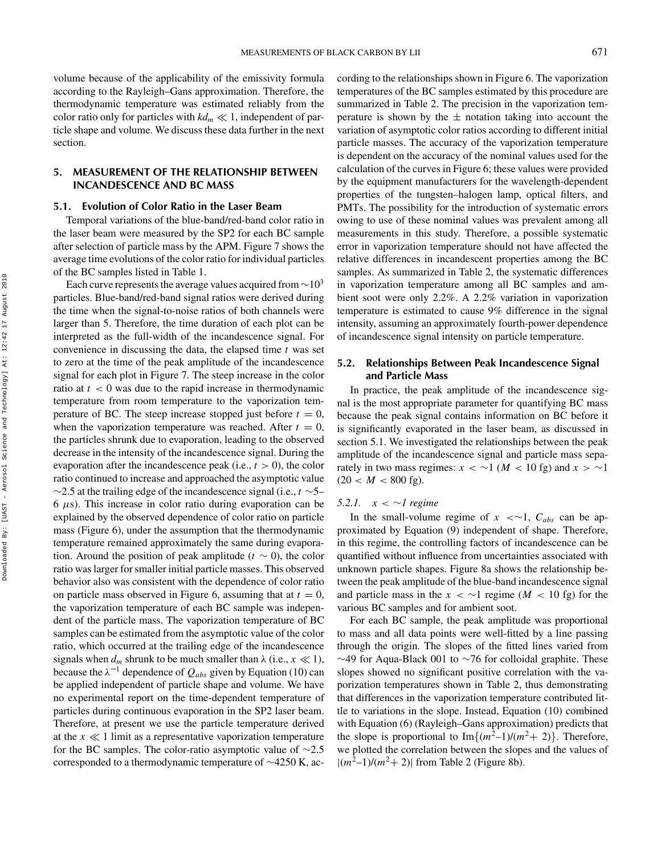volume because of the applicability of the emissivity formula according to the Rayleigh–Gans approximation. Therefore, the thermodynamic temperature was estimated reliably from the color ratio only for particles with  $kd_m \ll 1$ , independent of particle shape and volume. We discuss these data further in the next section.

#### **5. MEASUREMENT OF THE RELATIONSHIP BETWEEN INCANDESCENCE AND BC MASS**

#### **5.1. Evolution of Color Ratio in the Laser Beam**

Temporal variations of the blue-band/red-band color ratio in the laser beam were measured by the SP2 for each BC sample after selection of particle mass by the APM. Figure 7 shows the average time evolutions of the color ratio for individual particles of the BC samples listed in Table 1.

Each curve represents the average values acquired from  $\sim$ 10<sup>3</sup> particles. Blue-band/red-band signal ratios were derived during the time when the signal-to-noise ratios of both channels were larger than 5. Therefore, the time duration of each plot can be interpreted as the full-width of the incandescence signal. For convenience in discussing the data, the elapsed time *t* was set to zero at the time of the peak amplitude of the incandescence signal for each plot in Figure 7. The steep increase in the color ratio at  $t < 0$  was due to the rapid increase in thermodynamic temperature from room temperature to the vaporization temperature of BC. The steep increase stopped just before  $t = 0$ , when the vaporization temperature was reached. After  $t = 0$ , the particles shrunk due to evaporation, leading to the observed decrease in the intensity of the incandescence signal. During the evaporation after the incandescence peak (i.e.,  $t > 0$ ), the color ratio continued to increase and approached the asymptotic value ∼2.5 at the trailing edge of the incandescence signal (i.e., *t* ∼5– 6 *µ*s). This increase in color ratio during evaporation can be explained by the observed dependence of color ratio on particle mass (Figure 6), under the assumption that the thermodynamic temperature remained approximately the same during evaporation. Around the position of peak amplitude ( $t \sim 0$ ), the color ratio was larger for smaller initial particle masses. This observed behavior also was consistent with the dependence of color ratio on particle mass observed in Figure 6, assuming that at  $t = 0$ , the vaporization temperature of each BC sample was independent of the particle mass. The vaporization temperature of BC samples can be estimated from the asymptotic value of the color ratio, which occurred at the trailing edge of the incandescence signals when  $d_m$  shrunk to be much smaller than  $\lambda$  (i.e.,  $x \ll 1$ ), because the  $\lambda^{-1}$  dependence of  $Q_{abs}$  given by Equation (10) can be applied independent of particle shape and volume. We have no experimental report on the time-dependent temperature of particles during continuous evaporation in the SP2 laser beam. Therefore, at present we use the particle temperature derived at the  $x \ll 1$  limit as a representative vaporization temperature for the BC samples. The color-ratio asymptotic value of ∼2.5 corresponded to a thermodynamic temperature of ∼4250 K, according to the relationships shown in Figure 6. The vaporization temperatures of the BC samples estimated by this procedure are summarized in Table 2. The precision in the vaporization temperature is shown by the  $\pm$  notation taking into account the variation of asymptotic color ratios according to different initial particle masses. The accuracy of the vaporization temperature is dependent on the accuracy of the nominal values used for the calculation of the curves in Figure 6; these values were provided by the equipment manufacturers for the wavelength-dependent properties of the tungsten–halogen lamp, optical filters, and PMTs. The possibility for the introduction of systematic errors owing to use of these nominal values was prevalent among all measurements in this study. Therefore, a possible systematic error in vaporization temperature should not have affected the relative differences in incandescent properties among the BC samples. As summarized in Table 2, the systematic differences in vaporization temperature among all BC samples and ambient soot were only 2.2%. A 2.2% variation in vaporization temperature is estimated to cause 9% difference in the signal intensity, assuming an approximately fourth-power dependence of incandescence signal intensity on particle temperature.

### **5.2. Relationships Between Peak Incandescence Signal and Particle Mass**

In practice, the peak amplitude of the incandescence signal is the most appropriate parameter for quantifying BC mass because the peak signal contains information on BC before it is significantly evaporated in the laser beam, as discussed in section 5.1. We investigated the relationships between the peak amplitude of the incandescence signal and particle mass separately in two mass regimes:  $x < \sim 1$  ( $M < 10$  fg) and  $x > \sim 1$  $(20 < M < 800$  fg).

#### *5.2.1. x <* ∼*1 regime*

In the small-volume regime of  $x \leq 1$ ,  $C_{abs}$  can be approximated by Equation (9) independent of shape. Therefore, in this regime, the controlling factors of incandescence can be quantified without influence from uncertainties associated with unknown particle shapes. Figure 8a shows the relationship between the peak amplitude of the blue-band incandescence signal and particle mass in the  $x < \sim 1$  regime ( $M < 10$  fg) for the various BC samples and for ambient soot.

For each BC sample, the peak amplitude was proportional to mass and all data points were well-fitted by a line passing through the origin. The slopes of the fitted lines varied from ∼49 for Aqua-Black 001 to ∼76 for colloidal graphite. These slopes showed no significant positive correlation with the vaporization temperatures shown in Table 2, thus demonstrating that differences in the vaporization temperature contributed little to variations in the slope. Instead, Equation (10) combined with Equation (6) (Rayleigh–Gans approximation) predicts that the slope is proportional to  $\text{Im}\{(m^2-1)/(m^2+2)\}$ . Therefore, we plotted the correlation between the slopes and the values of  $|(m^2-1)/(m^2+2)|$  from Table 2 (Figure 8b).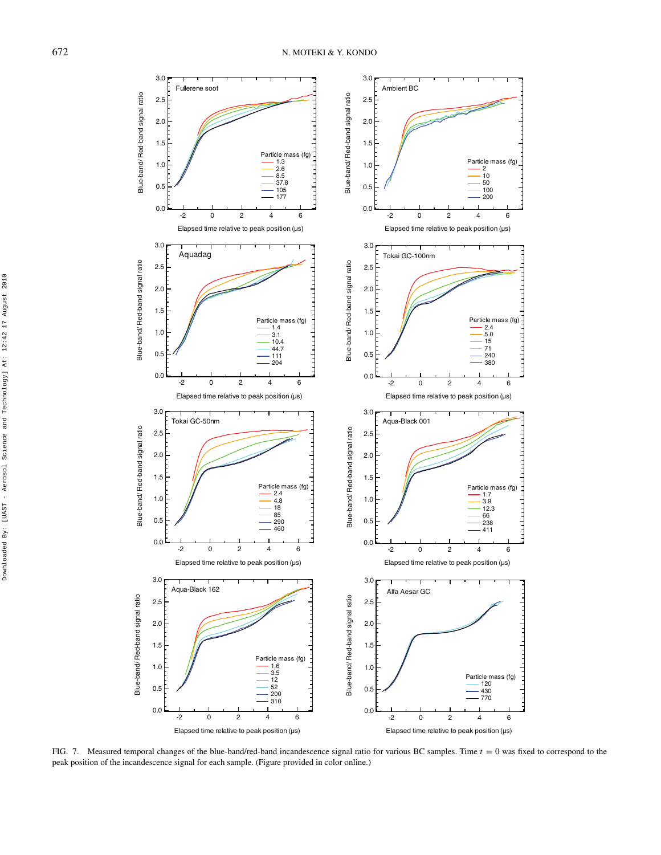

FIG. 7. Measured temporal changes of the blue-band/red-band incandescence signal ratio for various BC samples. Time  $t = 0$  was fixed to correspond to the peak position of the incandescence signal for each sample. (Figure provided in color online.)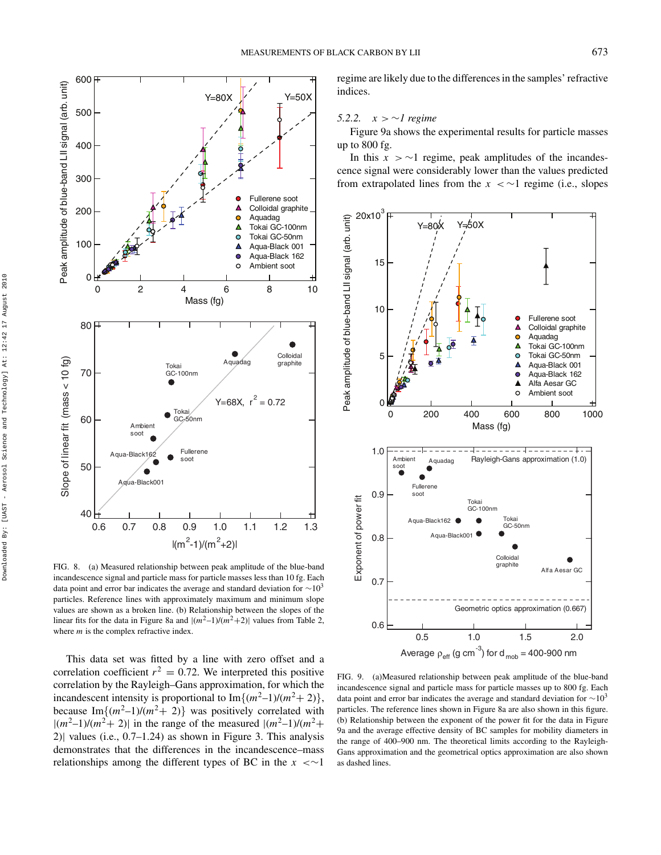

FIG. 8. (a) Measured relationship between peak amplitude of the blue-band incandescence signal and particle mass for particle masses less than 10 fg. Each data point and error bar indicates the average and standard deviation for  $\sim$ 10<sup>3</sup> particles. Reference lines with approximately maximum and minimum slope values are shown as a broken line. (b) Relationship between the slopes of the linear fits for the data in Figure 8a and  $|(m^2-1)/(m^2+2)|$  values from Table 2, where *m* is the complex refractive index.

This data set was fitted by a line with zero offset and a correlation coefficient  $r^2 = 0.72$ . We interpreted this positive correlation by the Rayleigh–Gans approximation, for which the incandescent intensity is proportional to  $\text{Im}\{(m^2-1)/(m^2+2)\}\,$ , because Im $\{(m^2-1)/(m^2+2)\}\)$  was positively correlated with  $|(m^2-1)/(m^2+2)|$  in the range of the measured  $|(m^2-1)/(m^2+1)|$ 2)| values (i.e., 0.7–1.24) as shown in Figure 3. This analysis demonstrates that the differences in the incandescence–mass relationships among the different types of BC in the *x <*∼1

regime are likely due to the differences in the samples' refractive indices.

#### *5.2.2. x >* ∼*1 regime*

Figure 9a shows the experimental results for particle masses up to 800 fg.

In this  $x$  >  $\sim$ 1 regime, peak amplitudes of the incandescence signal were considerably lower than the values predicted from extrapolated lines from the *x <* ∼1 regime (i.e., slopes



FIG. 9. (a)Measured relationship between peak amplitude of the blue-band incandescence signal and particle mass for particle masses up to 800 fg. Each data point and error bar indicates the average and standard deviation for  $\sim$ 10<sup>3</sup> particles. The reference lines shown in Figure 8a are also shown in this figure. (b) Relationship between the exponent of the power fit for the data in Figure 9a and the average effective density of BC samples for mobility diameters in the range of 400–900 nm. The theoretical limits according to the Rayleigh-Gans approximation and the geometrical optics approximation are also shown as dashed lines.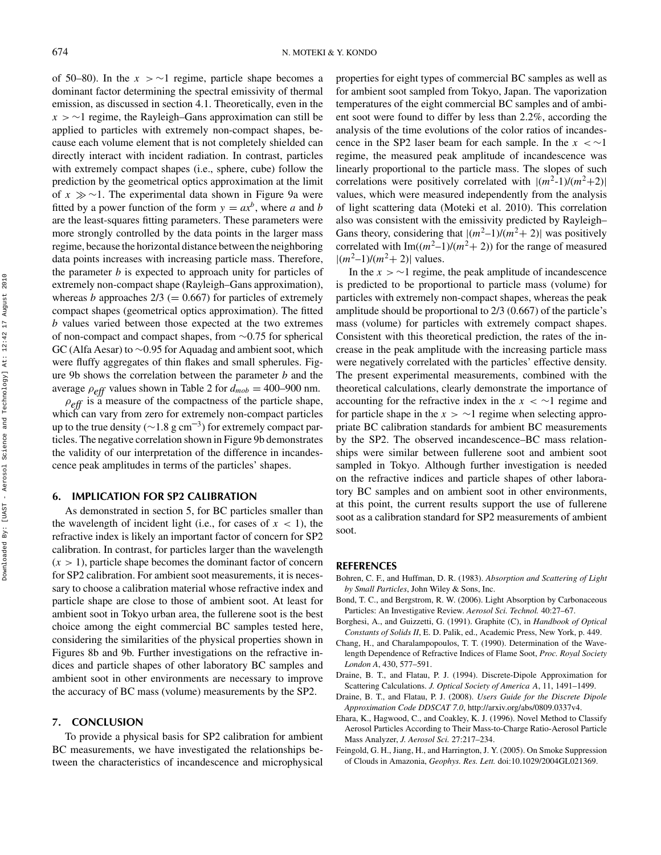of 50–80). In the  $x > \sim 1$  regime, particle shape becomes a dominant factor determining the spectral emissivity of thermal emission, as discussed in section 4.1. Theoretically, even in the *x >* ∼1 regime, the Rayleigh–Gans approximation can still be applied to particles with extremely non-compact shapes, because each volume element that is not completely shielded can directly interact with incident radiation. In contrast, particles with extremely compact shapes (i.e., sphere, cube) follow the prediction by the geometrical optics approximation at the limit of *x* ∼1. The experimental data shown in Figure 9a were fitted by a power function of the form  $y = ax^b$ , where *a* and *b* are the least-squares fitting parameters. These parameters were more strongly controlled by the data points in the larger mass regime, because the horizontal distance between the neighboring data points increases with increasing particle mass. Therefore, the parameter *b* is expected to approach unity for particles of extremely non-compact shape (Rayleigh–Gans approximation), whereas *b* approaches  $2/3$  (= 0.667) for particles of extremely compact shapes (geometrical optics approximation). The fitted *b* values varied between those expected at the two extremes of non-compact and compact shapes, from ∼0.75 for spherical GC (Alfa Aesar) to ∼0.95 for Aquadag and ambient soot, which were fluffy aggregates of thin flakes and small spherules. Figure 9b shows the correlation between the parameter *b* and the average  $\rho_{eff}$  values shown in Table 2 for  $d_{mob} = 400-900$  nm.

 $\rho_{\text{eff}}$  is a measure of the compactness of the particle shape, which can vary from zero for extremely non-compact particles up to the true density ( $\sim$ 1.8 g cm<sup>-3</sup>) for extremely compact particles. The negative correlation shown in Figure 9b demonstrates the validity of our interpretation of the difference in incandescence peak amplitudes in terms of the particles' shapes.

#### **6. IMPLICATION FOR SP2 CALIBRATION**

As demonstrated in section 5, for BC particles smaller than the wavelength of incident light (i.e., for cases of  $x < 1$ ), the refractive index is likely an important factor of concern for SP2 calibration. In contrast, for particles larger than the wavelength  $(x > 1)$ , particle shape becomes the dominant factor of concern for SP2 calibration. For ambient soot measurements, it is necessary to choose a calibration material whose refractive index and particle shape are close to those of ambient soot. At least for ambient soot in Tokyo urban area, the fullerene soot is the best choice among the eight commercial BC samples tested here, considering the similarities of the physical properties shown in Figures 8b and 9b. Further investigations on the refractive indices and particle shapes of other laboratory BC samples and ambient soot in other environments are necessary to improve the accuracy of BC mass (volume) measurements by the SP2.

#### **7. CONCLUSION**

To provide a physical basis for SP2 calibration for ambient BC measurements, we have investigated the relationships between the characteristics of incandescence and microphysical

properties for eight types of commercial BC samples as well as for ambient soot sampled from Tokyo, Japan. The vaporization temperatures of the eight commercial BC samples and of ambient soot were found to differ by less than 2.2%, according the analysis of the time evolutions of the color ratios of incandescence in the SP2 laser beam for each sample. In the  $x < \sim 1$ regime, the measured peak amplitude of incandescence was linearly proportional to the particle mass. The slopes of such correlations were positively correlated with  $|(m^2-1)/(m^2+2)|$ values, which were measured independently from the analysis of light scattering data (Moteki et al. 2010). This correlation also was consistent with the emissivity predicted by Rayleigh– Gans theory, considering that  $|(m^2-1)/(m^2+2)|$  was positively correlated with  $Im((m^2-1)/(m^2+2))$  for the range of measured  $|(m^2-1)/(m^2+2)|$  values.

In the  $x > \sim 1$  regime, the peak amplitude of incandescence is predicted to be proportional to particle mass (volume) for particles with extremely non-compact shapes, whereas the peak amplitude should be proportional to 2/3 (0.667) of the particle's mass (volume) for particles with extremely compact shapes. Consistent with this theoretical prediction, the rates of the increase in the peak amplitude with the increasing particle mass were negatively correlated with the particles' effective density. The present experimental measurements, combined with the theoretical calculations, clearly demonstrate the importance of accounting for the refractive index in the *x <* ∼1 regime and for particle shape in the *x >* ∼1 regime when selecting appropriate BC calibration standards for ambient BC measurements by the SP2. The observed incandescence–BC mass relationships were similar between fullerene soot and ambient soot sampled in Tokyo. Although further investigation is needed on the refractive indices and particle shapes of other laboratory BC samples and on ambient soot in other environments, at this point, the current results support the use of fullerene soot as a calibration standard for SP2 measurements of ambient soot.

#### **REFERENCES**

- Bohren, C. F., and Huffman, D. R. (1983). *Absorption and Scattering of Light by Small Particles*, John Wiley & Sons, Inc.
- Bond, T. C., and Bergstrom, R. W. (2006). Light Absorption by Carbonaceous Particles: An Investigative Review. *Aerosol Sci. Technol.* 40:27–67.
- Borghesi, A., and Guizzetti, G. (1991). Graphite (C), in *Handbook of Optical Constants of Solids II*, E. D. Palik, ed., Academic Press, New York, p. 449.
- Chang, H., and Charalampopoulos, T. T. (1990). Determination of the Wavelength Dependence of Refractive Indices of Flame Soot, *Proc. Royal Society London A*, 430, 577–591.
- Draine, B. T., and Flatau, P. J. (1994). Discrete-Dipole Approximation for Scattering Calculations. *J. Optical Society of America A*, 11, 1491–1499.
- Draine, B. T., and Flatau, P. J. (2008). *Users Guide for the Discrete Dipole Approximation Code DDSCAT 7.0*, http://arxiv.org/abs/0809.0337v4.
- Ehara, K., Hagwood, C., and Coakley, K. J. (1996). Novel Method to Classify Aerosol Particles According to Their Mass-to-Charge Ratio-Aerosol Particle Mass Analyzer, *J. Aerosol Sci.* 27:217–234.
- Feingold, G. H., Jiang, H., and Harrington, J. Y. (2005). On Smoke Suppression of Clouds in Amazonia, *Geophys. Res. Lett.* doi:10.1029/2004GL021369.